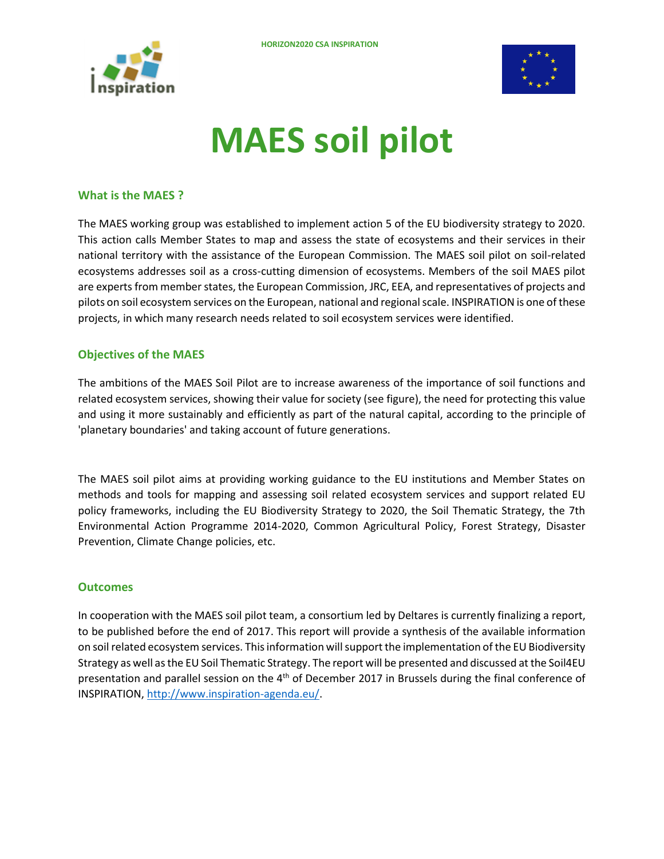



## **MAES soil pilot**

## **What is the MAES ?**

The MAES working group was established to implement action 5 of the EU biodiversity strategy to 2020. This action calls Member States to map and assess the state of ecosystems and their services in their national territory with the assistance of the European Commission. The MAES soil pilot on soil-related ecosystems addresses soil as a cross-cutting dimension of ecosystems. Members of the soil MAES pilot are experts from member states, the European Commission, JRC, EEA, and representatives of projects and pilots on soil ecosystem services on the European, national and regional scale. INSPIRATION is one of these projects, in which many research needs related to soil ecosystem services were identified.

## **Objectives of the MAES**

The ambitions of the MAES Soil Pilot are to increase awareness of the importance of soil functions and related ecosystem services, showing their value for society (see figure), the need for protecting this value and using it more sustainably and efficiently as part of the natural capital, according to the principle of 'planetary boundaries' and taking account of future generations.

The MAES soil pilot aims at providing working guidance to the EU institutions and Member States on methods and tools for mapping and assessing soil related ecosystem services and support related EU policy frameworks, including the EU Biodiversity Strategy to 2020, the Soil Thematic Strategy, the 7th Environmental Action Programme 2014-2020, Common Agricultural Policy, Forest Strategy, Disaster Prevention, Climate Change policies, etc.

## **Outcomes**

In cooperation with the MAES soil pilot team, a consortium led by Deltares is currently finalizing a report, to be published before the end of 2017. This report will provide a synthesis of the available information on soil related ecosystem services. This information will support the implementation of the EU Biodiversity Strategy as well as the EU Soil Thematic Strategy. The report will be presented and discussed at the Soil4EU presentation and parallel session on the  $4<sup>th</sup>$  of December 2017 in Brussels during the final conference of INSPIRATION[, http://www.inspiration-agenda.eu/.](http://www.inspiration-agenda.eu/)